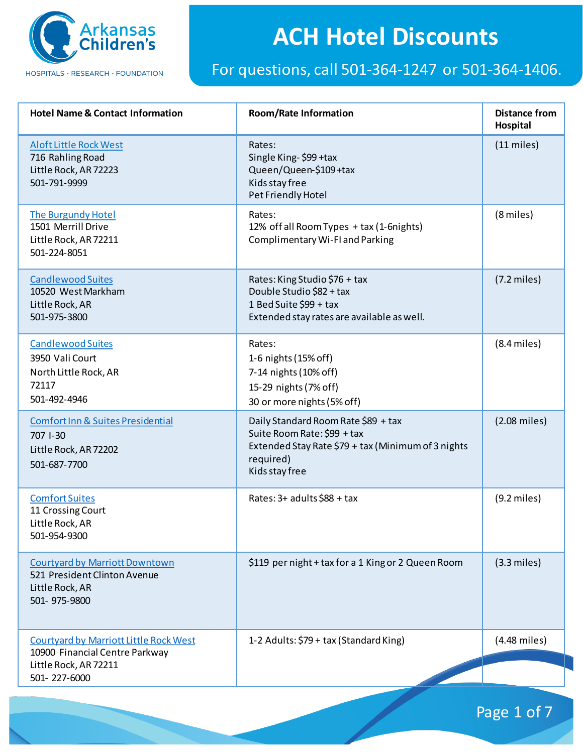

| <b>Hotel Name &amp; Contact Information</b>                                                              | <b>Room/Rate Information</b>                                                                                                                            | <b>Distance from</b><br>Hospital |
|----------------------------------------------------------------------------------------------------------|---------------------------------------------------------------------------------------------------------------------------------------------------------|----------------------------------|
| <b>Aloft Little Rock West</b><br>716 Rahling Road<br>Little Rock, AR 72223<br>501-791-9999               | Rates:<br>Single King-\$99 +tax<br>Queen/Queen-\$109+tax<br>Kids stay free<br>Pet Friendly Hotel                                                        | $(11$ miles)                     |
| The Burgundy Hotel<br>1501 Merrill Drive<br>Little Rock, AR 72211<br>501-224-8051                        | Rates:<br>12% off all Room Types + tax (1-6nights)<br>Complimentary Wi-FI and Parking                                                                   | (8 miles)                        |
| <b>Candlewood Suites</b><br>10520 West Markham<br>Little Rock, AR<br>501-975-3800                        | Rates: King Studio \$76 + tax<br>Double Studio \$82 + tax<br>1 Bed Suite \$99 + tax<br>Extended stay rates are available as well.                       | $(7.2$ miles)                    |
| <b>Candlewood Suites</b><br>3950 Vali Court<br>North Little Rock, AR<br>72117<br>501-492-4946            | Rates:<br>1-6 nights (15% off)<br>7-14 nights (10% off)<br>15-29 nights (7% off)<br>30 or more nights (5% off)                                          | $(8.4$ miles)                    |
| <b>Comfort Inn &amp; Suites Presidential</b><br>707 1-30<br>Little Rock, AR 72202<br>501-687-7700        | Daily Standard Room Rate \$89 + tax<br>Suite Room Rate: \$99 + tax<br>Extended Stay Rate \$79 + tax (Minimum of 3 nights<br>required)<br>Kids stay free | $(2.08$ miles)                   |
| <b>Comfort Suites</b><br>11 Crossing Court<br>Little Rock, AR<br>501-954-9300                            | Rates: 3+ adults \$88 + tax                                                                                                                             | $(9.2$ miles)                    |
| <b>Courtyard by Marriott Downtown</b><br>521 President Clinton Avenue<br>Little Rock, AR<br>501-975-9800 | \$119 per night + tax for a 1 King or 2 Queen Room                                                                                                      | $(3.3$ miles)                    |
| <b>Courtyard by Marriott Little Rock West</b><br>10900 Financial Centre Parkway<br>Little Rock, AR 72211 | 1-2 Adults: \$79 + tax (Standard King)                                                                                                                  | (4.48 miles)                     |
| 501-227-6000                                                                                             |                                                                                                                                                         |                                  |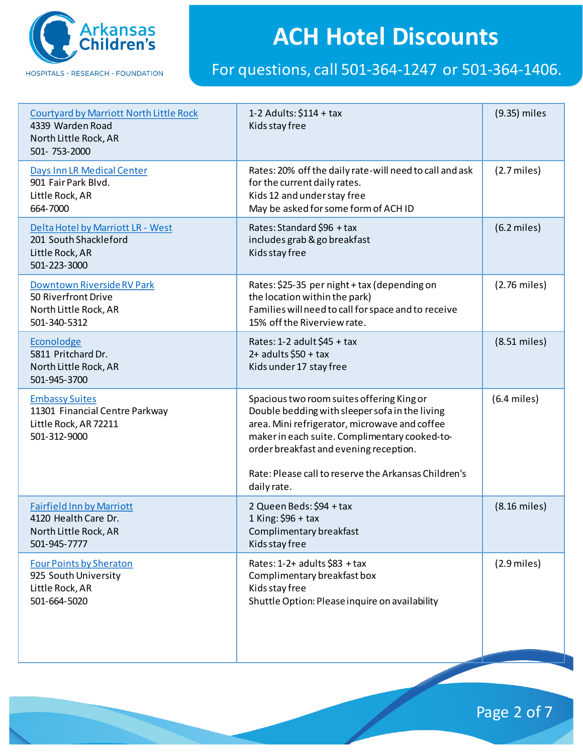

#### For questions, call 501-364-1247 or 501-364-1406.

| <b>Courtyard by Marriott North Little Rock</b><br>4339 Warden Road<br>North Little Rock, AR<br>501-753-2000 | 1-2 Adults: $$114 + tax$<br>Kids stay free                                                                                                                                                                                                                                                                     | (9.35) miles   |
|-------------------------------------------------------------------------------------------------------------|----------------------------------------------------------------------------------------------------------------------------------------------------------------------------------------------------------------------------------------------------------------------------------------------------------------|----------------|
| Days Inn LR Medical Center<br>901 Fair Park Blvd.<br>Little Rock, AR<br>664-7000                            | Rates: 20% off the daily rate-will need to call and ask<br>for the current daily rates.<br>Kids 12 and under stay free<br>May be asked for some form of ACH ID                                                                                                                                                 | $(2.7$ miles)  |
| Delta Hotel by Marriott LR - West<br>201 South Shackleford<br>Little Rock, AR<br>501-223-3000               | Rates: Standard \$96 + tax<br>includes grab & go breakfast<br>Kids stay free                                                                                                                                                                                                                                   | $(6.2$ miles)  |
| Downtown Riverside RV Park<br>50 Riverfront Drive<br>North Little Rock, AR<br>501-340-5312                  | Rates: \$25-35 per night + tax (depending on<br>the location within the park)<br>Families will need to call for space and to receive<br>15% off the Riverview rate.                                                                                                                                            | $(2.76$ miles) |
| Econolodge<br>5811 Pritchard Dr.<br>North Little Rock, AR<br>501-945-3700                                   | Rates: 1-2 adult \$45 + tax<br>$2+$ adults \$50 + tax<br>Kids under 17 stay free                                                                                                                                                                                                                               | $(8.51$ miles) |
| <b>Embassy Suites</b><br>11301 Financial Centre Parkway<br>Little Rock, AR 72211<br>501-312-9000            | Spacious two room suites offering King or<br>Double bedding with sleeper sofa in the living<br>area. Mini refrigerator, microwave and coffee<br>maker in each suite. Complimentary cooked-to-<br>order breakfast and evening reception.<br>Rate: Please call to reserve the Arkansas Children's<br>daily rate. | $(6.4$ miles)  |
| <b>Fairfield Inn by Marriott</b><br>4120 Health Care Dr.<br>North Little Rock, AR<br>501-945-7777           | 2 Queen Beds: \$94 + tax<br>1 King: $$96 + tax$<br>Complimentary breakfast<br>Kids stay free                                                                                                                                                                                                                   | $(8.16$ miles) |
| <b>Four Points by Sheraton</b><br>925 South University<br>Little Rock, AR<br>501-664-5020                   | Rates: 1-2+ adults \$83 + tax<br>Complimentary breakfast box<br>Kids stay free<br>Shuttle Option: Please inquire on availability                                                                                                                                                                               | $(2.9$ miles)  |

Page 2 of 7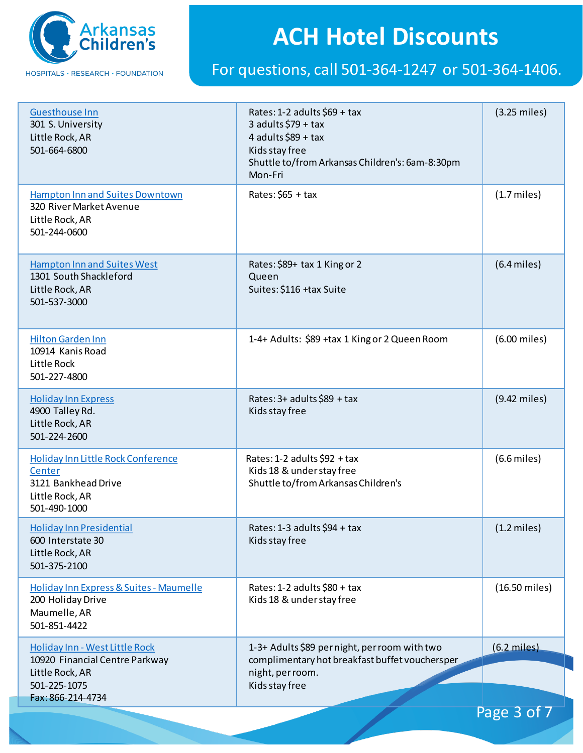

| Rates: $$65 + tax$<br>Hampton Inn and Suites Downtown<br>$(1.7$ miles)<br>320 River Market Avenue<br>Little Rock, AR<br>501-244-0600<br>$(6.4$ miles)<br><b>Hampton Inn and Suites West</b><br>Rates: \$89+ tax 1 King or 2<br>1301 South Shackleford<br>Queen<br>Suites: \$116 +tax Suite<br>Little Rock, AR<br>501-537-3000<br>1-4+ Adults: \$89 +tax 1 King or 2 Queen Room<br>(6.00 miles)<br><b>Hilton Garden Inn</b><br>10914 Kanis Road<br>Little Rock<br>501-227-4800<br>$(9.42$ miles)<br>Rates: 3+ adults \$89 + tax<br><b>Holiday Inn Express</b><br>Kids stay free<br>4900 Talley Rd.<br>Little Rock, AR<br>501-224-2600<br>Holiday Inn Little Rock Conference<br>Rates: 1-2 adults \$92 + tax<br>$(6.6$ miles)<br>Kids 18 & under stay free<br>Center<br>3121 Bankhead Drive<br>Shuttle to/from Arkansas Children's<br>Little Rock, AR<br>501-490-1000<br><b>Holiday Inn Presidential</b><br>Rates: $1-3$ adults \$94 + tax<br>$(1.2 \text{ miles})$<br>Kids stay free<br>600 Interstate 30<br>Little Rock, AR<br>501-375-2100<br>(16.50 miles)<br>Holiday Inn Express & Suites - Maumelle<br>Rates: 1-2 adults \$80 + tax<br>200 Holiday Drive<br>Kids 18 & under stay free<br>Maumelle, AR<br>501-851-4422<br>1-3+ Adults \$89 per night, per room with two<br>$(6.2$ miles)<br>Holiday Inn - West Little Rock<br>complimentary hot breakfast buffet vouchersper<br>10920 Financial Centre Parkway<br>night, per room.<br>Little Rock, AR<br>501-225-1075<br>Kids stay free<br>Fax: 866-214-4734 | <b>Guesthouse Inn</b><br>301 S. University<br>Little Rock, AR<br>501-664-6800 | Rates: 1-2 adults \$69 + tax<br>3 adults $$79 + tax$<br>4 adults $$89 + tax$<br>Kids stay free<br>Shuttle to/from Arkansas Children's: 6am-8:30pm<br>Mon-Fri | $(3.25 \text{ miles})$ |
|-----------------------------------------------------------------------------------------------------------------------------------------------------------------------------------------------------------------------------------------------------------------------------------------------------------------------------------------------------------------------------------------------------------------------------------------------------------------------------------------------------------------------------------------------------------------------------------------------------------------------------------------------------------------------------------------------------------------------------------------------------------------------------------------------------------------------------------------------------------------------------------------------------------------------------------------------------------------------------------------------------------------------------------------------------------------------------------------------------------------------------------------------------------------------------------------------------------------------------------------------------------------------------------------------------------------------------------------------------------------------------------------------------------------------------------------------------------------------------------------------------------------|-------------------------------------------------------------------------------|--------------------------------------------------------------------------------------------------------------------------------------------------------------|------------------------|
|                                                                                                                                                                                                                                                                                                                                                                                                                                                                                                                                                                                                                                                                                                                                                                                                                                                                                                                                                                                                                                                                                                                                                                                                                                                                                                                                                                                                                                                                                                                 |                                                                               |                                                                                                                                                              |                        |
|                                                                                                                                                                                                                                                                                                                                                                                                                                                                                                                                                                                                                                                                                                                                                                                                                                                                                                                                                                                                                                                                                                                                                                                                                                                                                                                                                                                                                                                                                                                 |                                                                               |                                                                                                                                                              |                        |
|                                                                                                                                                                                                                                                                                                                                                                                                                                                                                                                                                                                                                                                                                                                                                                                                                                                                                                                                                                                                                                                                                                                                                                                                                                                                                                                                                                                                                                                                                                                 |                                                                               |                                                                                                                                                              |                        |
|                                                                                                                                                                                                                                                                                                                                                                                                                                                                                                                                                                                                                                                                                                                                                                                                                                                                                                                                                                                                                                                                                                                                                                                                                                                                                                                                                                                                                                                                                                                 |                                                                               |                                                                                                                                                              |                        |
|                                                                                                                                                                                                                                                                                                                                                                                                                                                                                                                                                                                                                                                                                                                                                                                                                                                                                                                                                                                                                                                                                                                                                                                                                                                                                                                                                                                                                                                                                                                 |                                                                               |                                                                                                                                                              |                        |
|                                                                                                                                                                                                                                                                                                                                                                                                                                                                                                                                                                                                                                                                                                                                                                                                                                                                                                                                                                                                                                                                                                                                                                                                                                                                                                                                                                                                                                                                                                                 |                                                                               |                                                                                                                                                              |                        |
|                                                                                                                                                                                                                                                                                                                                                                                                                                                                                                                                                                                                                                                                                                                                                                                                                                                                                                                                                                                                                                                                                                                                                                                                                                                                                                                                                                                                                                                                                                                 |                                                                               |                                                                                                                                                              |                        |
| Page 3 of 7                                                                                                                                                                                                                                                                                                                                                                                                                                                                                                                                                                                                                                                                                                                                                                                                                                                                                                                                                                                                                                                                                                                                                                                                                                                                                                                                                                                                                                                                                                     |                                                                               |                                                                                                                                                              |                        |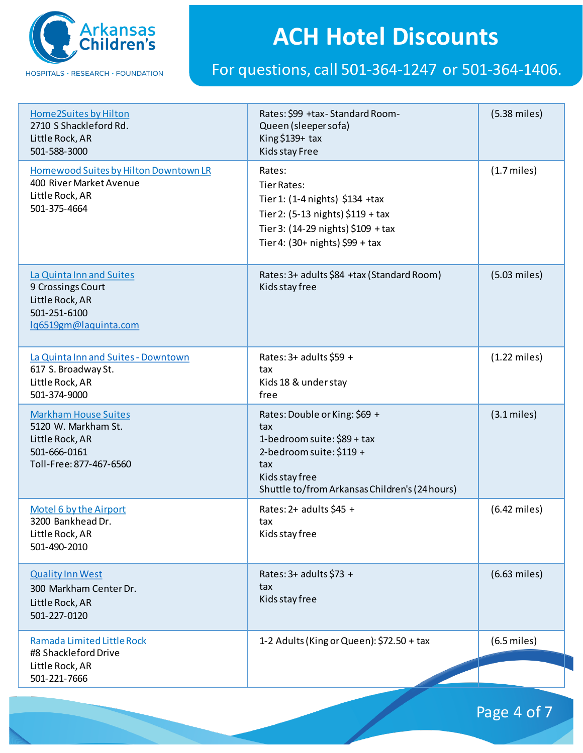

| Home 2Suites by Hilton<br>2710 S Shackleford Rd.<br>Little Rock, AR<br>501-588-3000                              | Rates: \$99 +tax-Standard Room-<br>Queen (sleeper sofa)<br>King \$139+ tax<br>Kids stay Free                                                                                     | $(5.38$ miles)         |
|------------------------------------------------------------------------------------------------------------------|----------------------------------------------------------------------------------------------------------------------------------------------------------------------------------|------------------------|
| Homewood Suites by Hilton Downtown LR<br>400 River Market Avenue<br>Little Rock, AR<br>501-375-4664              | Rates:<br>Tier Rates:<br>Tier 1: (1-4 nights) \$134 +tax<br>Tier 2: $(5-13 \text{ nights})$ \$119 + tax<br>Tier 3: (14-29 nights) \$109 + tax<br>Tier 4: (30+ nights) \$99 + tax | $(1.7$ miles)          |
| La Quinta Inn and Suites<br>9 Crossings Court<br>Little Rock, AR<br>501-251-6100<br>lq6519gm@laquinta.com        | Rates: 3+ adults \$84 +tax (Standard Room)<br>Kids stay free                                                                                                                     | $(5.03$ miles)         |
| La Quinta Inn and Suites - Downtown<br>617 S. Broadway St.<br>Little Rock, AR<br>501-374-9000                    | Rates: 3+ adults \$59 +<br>tax<br>Kids 18 & under stay<br>free                                                                                                                   | $(1.22 \text{ miles})$ |
| <b>Markham House Suites</b><br>5120 W. Markham St.<br>Little Rock, AR<br>501-666-0161<br>Toll-Free: 877-467-6560 | Rates: Double or King: \$69 +<br>tax<br>1-bedroom suite: \$89 + tax<br>2-bedroom suite: \$119 +<br>tax<br>Kids stay free<br>Shuttle to/from Arkansas Children's (24 hours)       | $(3.1$ miles)          |
| Motel 6 by the Airport<br>3200 Bankhead Dr.<br>Little Rock, AR<br>501-490-2010                                   | Rates: $2+$ adults \$45 +<br>tax<br>Kids stay free                                                                                                                               | $(6.42$ miles)         |
| <b>Quality Inn West</b><br>300 Markham Center Dr.<br>Little Rock, AR<br>501-227-0120                             | Rates: 3+ adults \$73 +<br>tax<br>Kids stay free                                                                                                                                 | $(6.63$ miles)         |
| Ramada Limited Little Rock<br>#8 Shackleford Drive                                                               | 1-2 Adults (King or Queen): \$72.50 + tax                                                                                                                                        | $(6.5$ miles)          |
| Little Rock, AR<br>501-221-7666                                                                                  |                                                                                                                                                                                  |                        |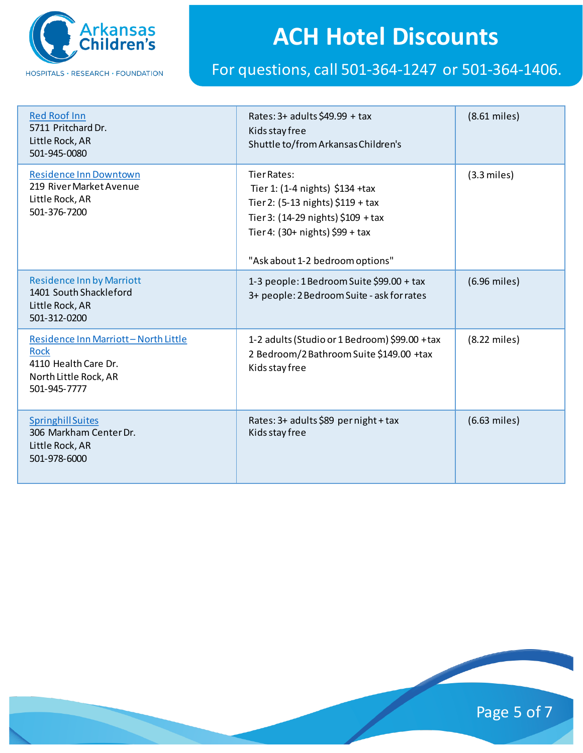

| <b>Red Roof Inn</b><br>5711 Pritchard Dr.<br>Little Rock, AR<br>501-945-0080                                        | Rates: 3+ adults \$49.99 + tax<br>Kids stay free<br>Shuttle to/from Arkansas Children's                                                                                                           | $(8.61$ miles) |
|---------------------------------------------------------------------------------------------------------------------|---------------------------------------------------------------------------------------------------------------------------------------------------------------------------------------------------|----------------|
| <b>Residence Inn Downtown</b><br>219 River Market Avenue<br>Little Rock, AR<br>501-376-7200                         | Tier Rates:<br>Tier 1: (1-4 nights) \$134 +tax<br>Tier 2: (5-13 nights) \$119 + tax<br>Tier 3: (14-29 nights) \$109 + tax<br>Tier 4: $(30+$ nights) \$99 + tax<br>"Ask about 1-2 bedroom options" | $(3.3$ miles)  |
| <b>Residence Inn by Marriott</b><br>1401 South Shackleford<br>Little Rock, AR<br>501-312-0200                       | 1-3 people: 1 Bedroom Suite \$99.00 + tax<br>3+ people: 2 Bedroom Suite - ask for rates                                                                                                           | (6.96 miles)   |
| Residence Inn Marriott-North Little<br><b>Rock</b><br>4110 Health Care Dr.<br>North Little Rock, AR<br>501-945-7777 | 1-2 adults (Studio or 1 Bedroom) \$99.00 +tax<br>2 Bedroom/2 Bathroom Suite \$149.00 +tax<br>Kids stay free                                                                                       | (8.22 miles)   |
| <b>Springhill Suites</b><br>306 Markham Center Dr.<br>Little Rock, AR<br>501-978-6000                               | Rates: 3+ adults \$89 per night + tax<br>Kids stay free                                                                                                                                           | $(6.63$ miles) |